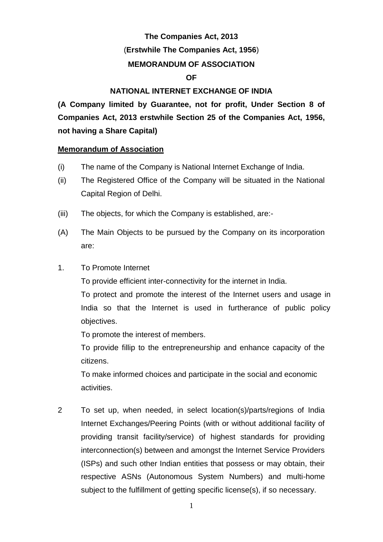# **The Companies Act, 2013** (**Erstwhile The Companies Act, 1956**) **MEMORANDUM OF ASSOCIATION OF**

### **NATIONAL INTERNET EXCHANGE OF INDIA**

**(A Company limited by Guarantee, not for profit, Under Section 8 of Companies Act, 2013 erstwhile Section 25 of the Companies Act, 1956, not having a Share Capital)**

### **Memorandum of Association**

- (i) The name of the Company is National Internet Exchange of India.
- (ii) The Registered Office of the Company will be situated in the National Capital Region of Delhi.
- (iii) The objects, for which the Company is established, are:-
- (A) The Main Objects to be pursued by the Company on its incorporation are:
- 1. To Promote Internet

To provide efficient inter-connectivity for the internet in India.

To protect and promote the interest of the Internet users and usage in India so that the Internet is used in furtherance of public policy objectives.

To promote the interest of members.

To provide fillip to the entrepreneurship and enhance capacity of the citizens.

To make informed choices and participate in the social and economic activities.

2 To set up, when needed, in select location(s)/parts/regions of India Internet Exchanges/Peering Points (with or without additional facility of providing transit facility/service) of highest standards for providing interconnection(s) between and amongst the Internet Service Providers (ISPs) and such other Indian entities that possess or may obtain, their respective ASNs (Autonomous System Numbers) and multi-home subject to the fulfillment of getting specific license(s), if so necessary.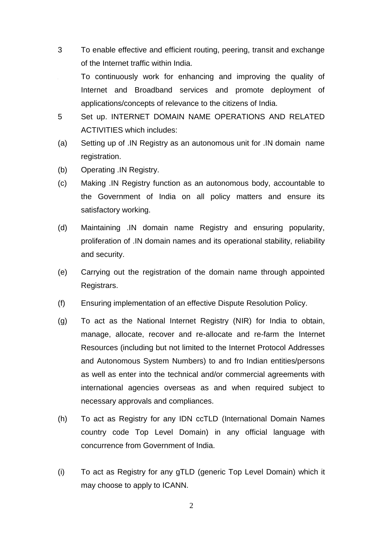- 3 To enable effective and efficient routing, peering, transit and exchange of the Internet traffic within India.
	- <sup>4</sup> To continuously work for enhancing and improving the quality of Internet and Broadband services and promote deployment of applications/concepts of relevance to the citizens of India.
- 5 Set up. INTERNET DOMAIN NAME OPERATIONS AND RELATED ACTIVITIES which includes:
- (a) Setting up of .IN Registry as an autonomous unit for .IN domain name registration.
- (b) Operating .IN Registry.
- (c) Making .IN Registry function as an autonomous body, accountable to the Government of India on all policy matters and ensure its satisfactory working.
- (d) Maintaining .IN domain name Registry and ensuring popularity, proliferation of .IN domain names and its operational stability, reliability and security.
- (e) Carrying out the registration of the domain name through appointed Registrars.
- (f) Ensuring implementation of an effective Dispute Resolution Policy.
- (g) To act as the National Internet Registry (NIR) for India to obtain, manage, allocate, recover and re-allocate and re-farm the Internet Resources (including but not limited to the Internet Protocol Addresses and Autonomous System Numbers) to and fro Indian entities/persons as well as enter into the technical and/or commercial agreements with international agencies overseas as and when required subject to necessary approvals and compliances.
- (h) To act as Registry for any IDN ccTLD (International Domain Names country code Top Level Domain) in any official language with concurrence from Government of India.
- (i) To act as Registry for any gTLD (generic Top Level Domain) which it may choose to apply to ICANN.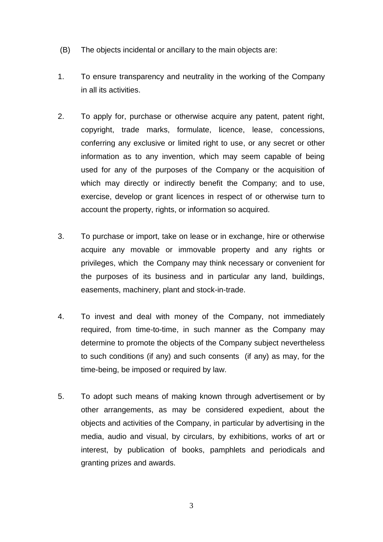- (B) The objects incidental or ancillary to the main objects are:
- 1. To ensure transparency and neutrality in the working of the Company in all its activities.
- 2. To apply for, purchase or otherwise acquire any patent, patent right, copyright, trade marks, formulate, licence, lease, concessions, conferring any exclusive or limited right to use, or any secret or other information as to any invention, which may seem capable of being used for any of the purposes of the Company or the acquisition of which may directly or indirectly benefit the Company; and to use, exercise, develop or grant licences in respect of or otherwise turn to account the property, rights, or information so acquired.
- 3. To purchase or import, take on lease or in exchange, hire or otherwise acquire any movable or immovable property and any rights or privileges, which the Company may think necessary or convenient for the purposes of its business and in particular any land, buildings, easements, machinery, plant and stock-in-trade.
- 4. To invest and deal with money of the Company, not immediately required, from time-to-time, in such manner as the Company may determine to promote the objects of the Company subject nevertheless to such conditions (if any) and such consents (if any) as may, for the time-being, be imposed or required by law.
- 5. To adopt such means of making known through advertisement or by other arrangements, as may be considered expedient, about the objects and activities of the Company, in particular by advertising in the media, audio and visual, by circulars, by exhibitions, works of art or interest, by publication of books, pamphlets and periodicals and granting prizes and awards.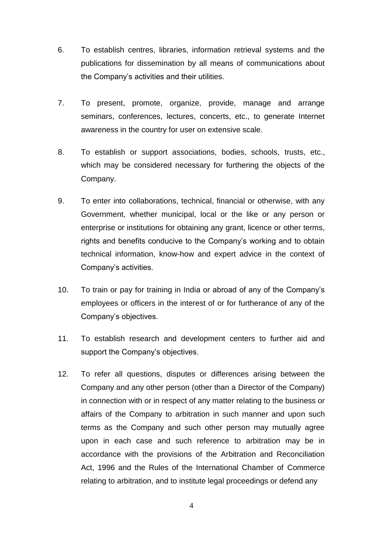- 6. To establish centres, libraries, information retrieval systems and the publications for dissemination by all means of communications about the Company's activities and their utilities.
- 7. To present, promote, organize, provide, manage and arrange seminars, conferences, lectures, concerts, etc., to generate Internet awareness in the country for user on extensive scale.
- 8. To establish or support associations, bodies, schools, trusts, etc., which may be considered necessary for furthering the objects of the Company.
- 9. To enter into collaborations, technical, financial or otherwise, with any Government, whether municipal, local or the like or any person or enterprise or institutions for obtaining any grant, licence or other terms, rights and benefits conducive to the Company's working and to obtain technical information, know-how and expert advice in the context of Company's activities.
- 10. To train or pay for training in India or abroad of any of the Company's employees or officers in the interest of or for furtherance of any of the Company's objectives.
- 11. To establish research and development centers to further aid and support the Company's objectives.
- 12. To refer all questions, disputes or differences arising between the Company and any other person (other than a Director of the Company) in connection with or in respect of any matter relating to the business or affairs of the Company to arbitration in such manner and upon such terms as the Company and such other person may mutually agree upon in each case and such reference to arbitration may be in accordance with the provisions of the Arbitration and Reconciliation Act, 1996 and the Rules of the International Chamber of Commerce relating to arbitration, and to institute legal proceedings or defend any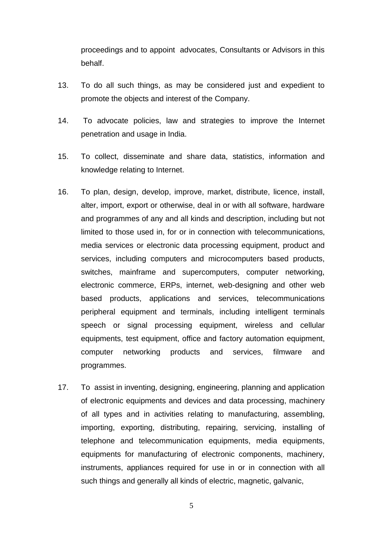proceedings and to appoint advocates, Consultants or Advisors in this behalf.

- 13. To do all such things, as may be considered just and expedient to promote the objects and interest of the Company.
- 14. To advocate policies, law and strategies to improve the Internet penetration and usage in India.
- 15. To collect, disseminate and share data, statistics, information and knowledge relating to Internet.
- 16. To plan, design, develop, improve, market, distribute, licence, install, alter, import, export or otherwise, deal in or with all software, hardware and programmes of any and all kinds and description, including but not limited to those used in, for or in connection with telecommunications, media services or electronic data processing equipment, product and services, including computers and microcomputers based products, switches, mainframe and supercomputers, computer networking, electronic commerce, ERPs, internet, web-designing and other web based products, applications and services, telecommunications peripheral equipment and terminals, including intelligent terminals speech or signal processing equipment, wireless and cellular equipments, test equipment, office and factory automation equipment, computer networking products and services, filmware and programmes.
- 17. To assist in inventing, designing, engineering, planning and application of electronic equipments and devices and data processing, machinery of all types and in activities relating to manufacturing, assembling, importing, exporting, distributing, repairing, servicing, installing of telephone and telecommunication equipments, media equipments, equipments for manufacturing of electronic components, machinery, instruments, appliances required for use in or in connection with all such things and generally all kinds of electric, magnetic, galvanic,

5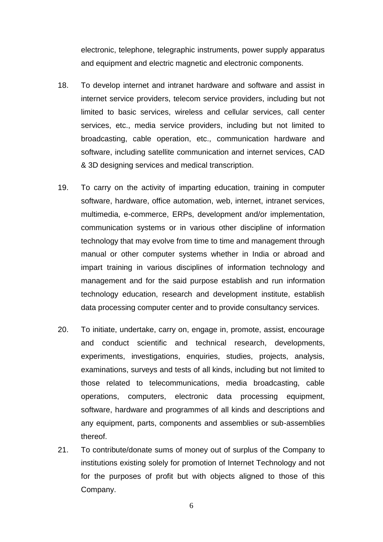electronic, telephone, telegraphic instruments, power supply apparatus and equipment and electric magnetic and electronic components.

- 18. To develop internet and intranet hardware and software and assist in internet service providers, telecom service providers, including but not limited to basic services, wireless and cellular services, call center services, etc., media service providers, including but not limited to broadcasting, cable operation, etc., communication hardware and software, including satellite communication and internet services, CAD & 3D designing services and medical transcription.
- 19. To carry on the activity of imparting education, training in computer software, hardware, office automation, web, internet, intranet services, multimedia, e-commerce, ERPs, development and/or implementation, communication systems or in various other discipline of information technology that may evolve from time to time and management through manual or other computer systems whether in India or abroad and impart training in various disciplines of information technology and management and for the said purpose establish and run information technology education, research and development institute, establish data processing computer center and to provide consultancy services.
- 20. To initiate, undertake, carry on, engage in, promote, assist, encourage and conduct scientific and technical research, developments, experiments, investigations, enquiries, studies, projects, analysis, examinations, surveys and tests of all kinds, including but not limited to those related to telecommunications, media broadcasting, cable operations, computers, electronic data processing equipment, software, hardware and programmes of all kinds and descriptions and any equipment, parts, components and assemblies or sub-assemblies thereof.
- 21. To contribute/donate sums of money out of surplus of the Company to institutions existing solely for promotion of Internet Technology and not for the purposes of profit but with objects aligned to those of this Company.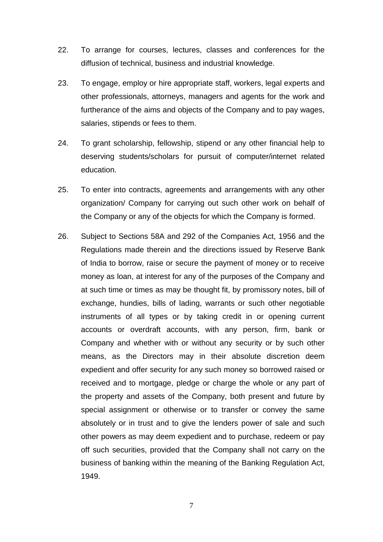- 22. To arrange for courses, lectures, classes and conferences for the diffusion of technical, business and industrial knowledge.
- 23. To engage, employ or hire appropriate staff, workers, legal experts and other professionals, attorneys, managers and agents for the work and furtherance of the aims and objects of the Company and to pay wages, salaries, stipends or fees to them.
- 24. To grant scholarship, fellowship, stipend or any other financial help to deserving students/scholars for pursuit of computer/internet related education.
- 25. To enter into contracts, agreements and arrangements with any other organization/ Company for carrying out such other work on behalf of the Company or any of the objects for which the Company is formed.
- 26. Subject to Sections 58A and 292 of the Companies Act, 1956 and the Regulations made therein and the directions issued by Reserve Bank of India to borrow, raise or secure the payment of money or to receive money as loan, at interest for any of the purposes of the Company and at such time or times as may be thought fit, by promissory notes, bill of exchange, hundies, bills of lading, warrants or such other negotiable instruments of all types or by taking credit in or opening current accounts or overdraft accounts, with any person, firm, bank or Company and whether with or without any security or by such other means, as the Directors may in their absolute discretion deem expedient and offer security for any such money so borrowed raised or received and to mortgage, pledge or charge the whole or any part of the property and assets of the Company, both present and future by special assignment or otherwise or to transfer or convey the same absolutely or in trust and to give the lenders power of sale and such other powers as may deem expedient and to purchase, redeem or pay off such securities, provided that the Company shall not carry on the business of banking within the meaning of the Banking Regulation Act, 1949.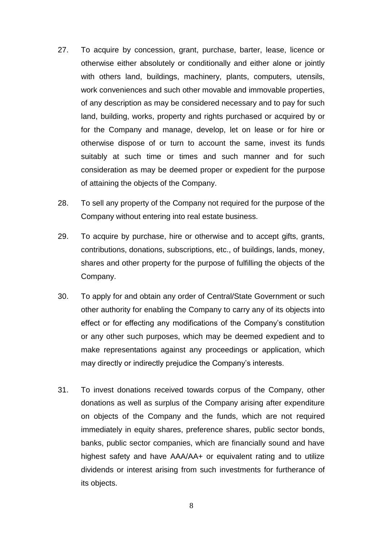- 27. To acquire by concession, grant, purchase, barter, lease, licence or otherwise either absolutely or conditionally and either alone or jointly with others land, buildings, machinery, plants, computers, utensils, work conveniences and such other movable and immovable properties, of any description as may be considered necessary and to pay for such land, building, works, property and rights purchased or acquired by or for the Company and manage, develop, let on lease or for hire or otherwise dispose of or turn to account the same, invest its funds suitably at such time or times and such manner and for such consideration as may be deemed proper or expedient for the purpose of attaining the objects of the Company.
- 28. To sell any property of the Company not required for the purpose of the Company without entering into real estate business.
- 29. To acquire by purchase, hire or otherwise and to accept gifts, grants, contributions, donations, subscriptions, etc., of buildings, lands, money, shares and other property for the purpose of fulfilling the objects of the Company.
- 30. To apply for and obtain any order of Central/State Government or such other authority for enabling the Company to carry any of its objects into effect or for effecting any modifications of the Company's constitution or any other such purposes, which may be deemed expedient and to make representations against any proceedings or application, which may directly or indirectly prejudice the Company's interests.
- 31. To invest donations received towards corpus of the Company, other donations as well as surplus of the Company arising after expenditure on objects of the Company and the funds, which are not required immediately in equity shares, preference shares, public sector bonds, banks, public sector companies, which are financially sound and have highest safety and have AAA/AA+ or equivalent rating and to utilize dividends or interest arising from such investments for furtherance of its objects.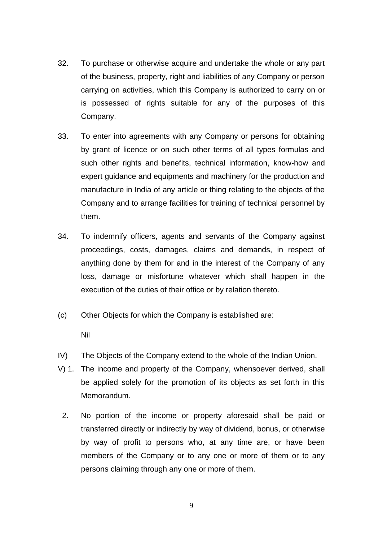- 32. To purchase or otherwise acquire and undertake the whole or any part of the business, property, right and liabilities of any Company or person carrying on activities, which this Company is authorized to carry on or is possessed of rights suitable for any of the purposes of this Company.
- 33. To enter into agreements with any Company or persons for obtaining by grant of licence or on such other terms of all types formulas and such other rights and benefits, technical information, know-how and expert guidance and equipments and machinery for the production and manufacture in India of any article or thing relating to the objects of the Company and to arrange facilities for training of technical personnel by them.
- 34. To indemnify officers, agents and servants of the Company against proceedings, costs, damages, claims and demands, in respect of anything done by them for and in the interest of the Company of any loss, damage or misfortune whatever which shall happen in the execution of the duties of their office or by relation thereto.
- (c) Other Objects for which the Company is established are:

Nil

- IV) The Objects of the Company extend to the whole of the Indian Union.
- V) 1. The income and property of the Company, whensoever derived, shall be applied solely for the promotion of its objects as set forth in this Memorandum.
	- 2. No portion of the income or property aforesaid shall be paid or transferred directly or indirectly by way of dividend, bonus, or otherwise by way of profit to persons who, at any time are, or have been members of the Company or to any one or more of them or to any persons claiming through any one or more of them.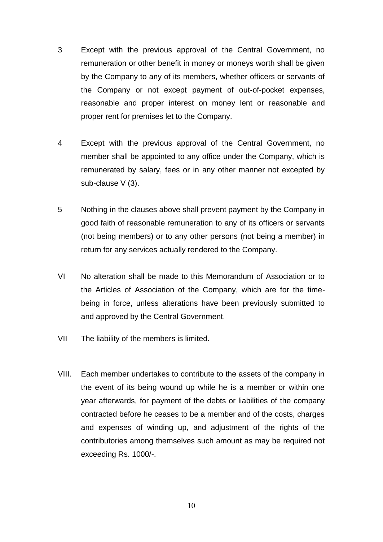- 3 Except with the previous approval of the Central Government, no remuneration or other benefit in money or moneys worth shall be given by the Company to any of its members, whether officers or servants of the Company or not except payment of out-of-pocket expenses, reasonable and proper interest on money lent or reasonable and proper rent for premises let to the Company.
- 4 Except with the previous approval of the Central Government, no member shall be appointed to any office under the Company, which is remunerated by salary, fees or in any other manner not excepted by sub-clause V (3).
- 5 Nothing in the clauses above shall prevent payment by the Company in good faith of reasonable remuneration to any of its officers or servants (not being members) or to any other persons (not being a member) in return for any services actually rendered to the Company.
- VI No alteration shall be made to this Memorandum of Association or to the Articles of Association of the Company, which are for the timebeing in force, unless alterations have been previously submitted to and approved by the Central Government.
- VII The liability of the members is limited.
- VIII. Each member undertakes to contribute to the assets of the company in the event of its being wound up while he is a member or within one year afterwards, for payment of the debts or liabilities of the company contracted before he ceases to be a member and of the costs, charges and expenses of winding up, and adjustment of the rights of the contributories among themselves such amount as may be required not exceeding Rs. 1000/-.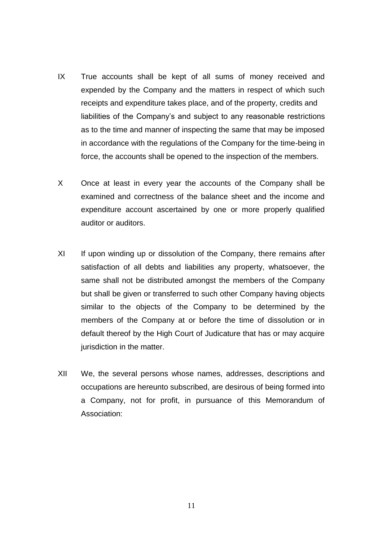- IX True accounts shall be kept of all sums of money received and expended by the Company and the matters in respect of which such receipts and expenditure takes place, and of the property, credits and liabilities of the Company's and subject to any reasonable restrictions as to the time and manner of inspecting the same that may be imposed in accordance with the regulations of the Company for the time-being in force, the accounts shall be opened to the inspection of the members.
- X Once at least in every year the accounts of the Company shall be examined and correctness of the balance sheet and the income and expenditure account ascertained by one or more properly qualified auditor or auditors.
- XI If upon winding up or dissolution of the Company, there remains after satisfaction of all debts and liabilities any property, whatsoever, the same shall not be distributed amongst the members of the Company but shall be given or transferred to such other Company having objects similar to the objects of the Company to be determined by the members of the Company at or before the time of dissolution or in default thereof by the High Court of Judicature that has or may acquire jurisdiction in the matter.
- XII We, the several persons whose names, addresses, descriptions and occupations are hereunto subscribed, are desirous of being formed into a Company, not for profit, in pursuance of this Memorandum of Association: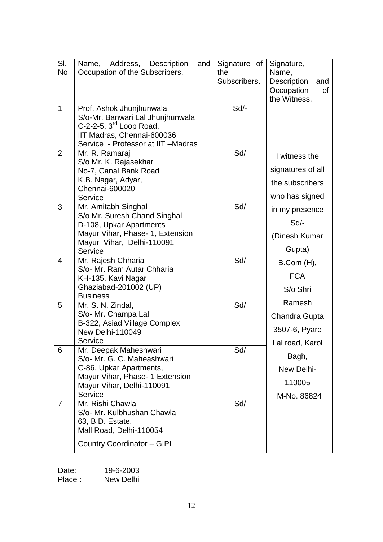| SI.       | Name, Address, Description<br>and                       | Signature of | Signature,                       |
|-----------|---------------------------------------------------------|--------------|----------------------------------|
| <b>No</b> | Occupation of the Subscribers.                          | the          | Name,                            |
|           |                                                         | Subscribers. | <b>Description</b><br>and        |
|           |                                                         |              | Occupation<br>0f<br>the Witness. |
| 1         | Prof. Ashok Jhunjhunwala,                               | Sd/-         |                                  |
|           | S/o-Mr. Banwari Lal Jhunjhunwala                        |              |                                  |
|           | C-2-2-5, $3^{\text{rd}}$ Loop Road,                     |              |                                  |
|           | IIT Madras, Chennai-600036                              |              |                                  |
|           | Service - Professor at IIT - Madras                     |              |                                  |
| 2         | Mr. R. Ramaraj<br>S/o Mr. K. Rajasekhar                 | Sd/          | I witness the                    |
|           | No-7, Canal Bank Road                                   |              | signatures of all                |
|           | K.B. Nagar, Adyar,                                      |              | the subscribers                  |
|           | Chennai-600020                                          |              |                                  |
|           | Service                                                 |              | who has signed                   |
| 3         | Mr. Amitabh Singhal                                     | Sd/          | in my presence                   |
|           | S/o Mr. Suresh Chand Singhal<br>D-108, Upkar Apartments |              | Sd                               |
|           | Mayur Vihar, Phase- 1, Extension                        |              |                                  |
|           | Mayur Vihar, Delhi-110091                               |              | (Dinesh Kumar                    |
|           | Service                                                 |              | Gupta)                           |
| 4         | Mr. Rajesh Chharia                                      | Sd/          | B.Com (H),                       |
|           | S/o- Mr. Ram Autar Chharia                              |              | <b>FCA</b>                       |
|           | KH-135, Kavi Nagar<br>Ghaziabad-201002 (UP)             |              |                                  |
|           | <b>Business</b>                                         |              | S/o Shri                         |
| 5         | Mr. S. N. Zindal,                                       | Sd/          | Ramesh                           |
|           | S/o- Mr. Champa Lal                                     |              | Chandra Gupta                    |
|           | B-322, Asiad Village Complex                            |              | 3507-6, Pyare                    |
|           | New Delhi-110049<br>Service                             |              |                                  |
| 6         | Mr. Deepak Maheshwari                                   | Sd/          | Lal road, Karol                  |
|           | S/o- Mr. G. C. Maheashwari                              |              | Bagh,                            |
|           | C-86, Upkar Apartments,                                 |              | New Delhi-                       |
|           | Mayur Vihar, Phase- 1 Extension                         |              |                                  |
|           | Mayur Vihar, Delhi-110091                               |              | 110005                           |
|           | Service<br>Mr. Rishi Chawla                             |              | M-No. 86824                      |
| 7         | S/o- Mr. Kulbhushan Chawla                              | Sd/          |                                  |
|           | 63, B.D. Estate,                                        |              |                                  |
|           | Mall Road, Delhi-110054                                 |              |                                  |
|           | <b>Country Coordinator - GIPI</b>                       |              |                                  |
|           |                                                         |              |                                  |

| Date:   | 19-6-2003 |
|---------|-----------|
| Place : | New Delhi |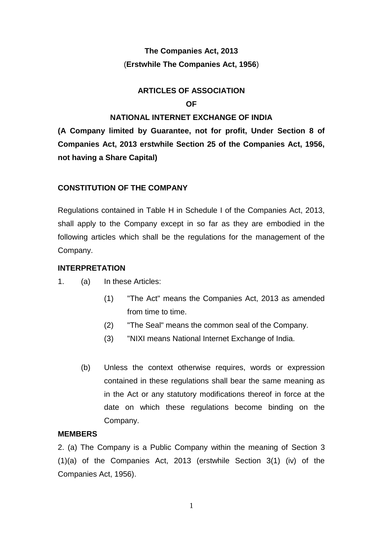## **The Companies Act, 2013** (**Erstwhile The Companies Act, 1956**)

## **ARTICLES OF ASSOCIATION OF**

### **NATIONAL INTERNET EXCHANGE OF INDIA**

**(A Company limited by Guarantee, not for profit, Under Section 8 of Companies Act, 2013 erstwhile Section 25 of the Companies Act, 1956, not having a Share Capital)**

### **CONSTITUTION OF THE COMPANY**

Regulations contained in Table H in Schedule I of the Companies Act, 2013, shall apply to the Company except in so far as they are embodied in the following articles which shall be the regulations for the management of the Company.

### **INTERPRETATION**

- 1. (a) In these Articles:
	- (1) "The Act" means the Companies Act, 2013 as amended from time to time.
	- (2) "The Seal" means the common seal of the Company.
	- (3) "NIXI means National Internet Exchange of India.
	- (b) Unless the context otherwise requires, words or expression contained in these regulations shall bear the same meaning as in the Act or any statutory modifications thereof in force at the date on which these regulations become binding on the Company.

#### **MEMBERS**

2. (a) The Company is a Public Company within the meaning of Section 3 (1)(a) of the Companies Act, 2013 (erstwhile Section 3(1) (iv) of the Companies Act, 1956).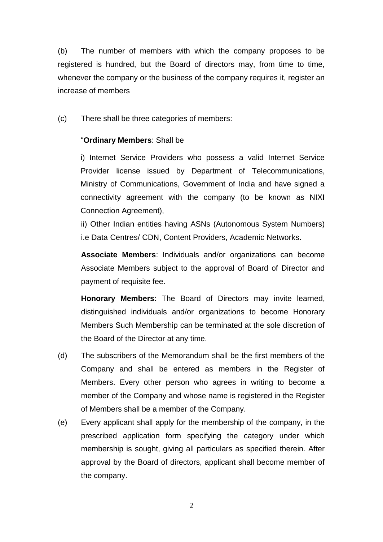(b) The number of members with which the company proposes to be registered is hundred, but the Board of directors may, from time to time, whenever the company or the business of the company requires it, register an increase of members

(c) There shall be three categories of members:

### "**Ordinary Members**: Shall be

i) Internet Service Providers who possess a valid Internet Service Provider license issued by Department of Telecommunications, Ministry of Communications, Government of India and have signed a connectivity agreement with the company (to be known as NIXI Connection Agreement),

ii) Other Indian entities having ASNs (Autonomous System Numbers) i.e Data Centres/ CDN, Content Providers, Academic Networks.

**Associate Members**: Individuals and/or organizations can become Associate Members subject to the approval of Board of Director and payment of requisite fee.

**Honorary Members**: The Board of Directors may invite learned, distinguished individuals and/or organizations to become Honorary Members Such Membership can be terminated at the sole discretion of the Board of the Director at any time.

- (d) The subscribers of the Memorandum shall be the first members of the Company and shall be entered as members in the Register of Members. Every other person who agrees in writing to become a member of the Company and whose name is registered in the Register of Members shall be a member of the Company.
- (e) Every applicant shall apply for the membership of the company, in the prescribed application form specifying the category under which membership is sought, giving all particulars as specified therein. After approval by the Board of directors, applicant shall become member of the company.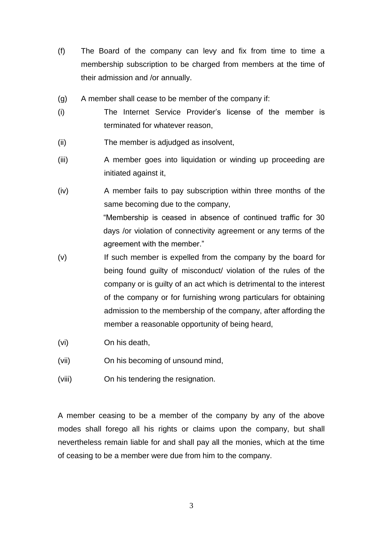- (f) The Board of the company can levy and fix from time to time a membership subscription to be charged from members at the time of their admission and /or annually.
- (g) A member shall cease to be member of the company if:
- (i) The Internet Service Provider's license of the member is terminated for whatever reason,
- (ii) The member is adjudged as insolvent,
- (iii) A member goes into liquidation or winding up proceeding are initiated against it,
- (iv) A member fails to pay subscription within three months of the same becoming due to the company, "Membership is ceased in absence of continued traffic for 30

days /or violation of connectivity agreement or any terms of the agreement with the member."

- (v) If such member is expelled from the company by the board for being found guilty of misconduct/ violation of the rules of the company or is guilty of an act which is detrimental to the interest of the company or for furnishing wrong particulars for obtaining admission to the membership of the company, after affording the member a reasonable opportunity of being heard,
- (vi) On his death,
- (vii) On his becoming of unsound mind,
- (viii) On his tendering the resignation.

A member ceasing to be a member of the company by any of the above modes shall forego all his rights or claims upon the company, but shall nevertheless remain liable for and shall pay all the monies, which at the time of ceasing to be a member were due from him to the company.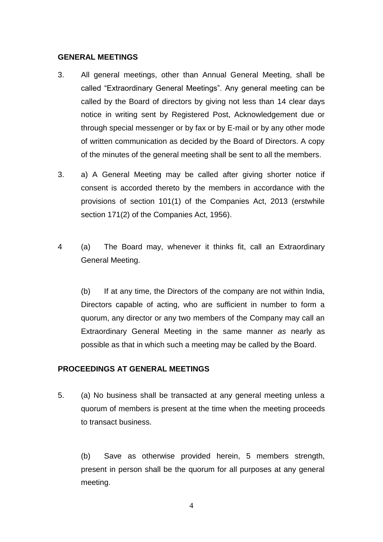#### **GENERAL MEETINGS**

- 3. All general meetings, other than Annual General Meeting, shall be called "Extraordinary General Meetings". Any general meeting can be called by the Board of directors by giving not less than 14 clear days notice in writing sent by Registered Post, Acknowledgement due or through special messenger or by fax or by E-mail or by any other mode of written communication as decided by the Board of Directors. A copy of the minutes of the general meeting shall be sent to all the members.
- 3. a) A General Meeting may be called after giving shorter notice if consent is accorded thereto by the members in accordance with the provisions of section 101(1) of the Companies Act, 2013 (erstwhile section 171(2) of the Companies Act, 1956).
- 4 (a) The Board may, whenever it thinks fit, call an Extraordinary General Meeting.

(b) If at any time, the Directors of the company are not within India, Directors capable of acting, who are sufficient in number to form a quorum, any director or any two members of the Company may call an Extraordinary General Meeting in the same manner *as* nearly as possible as that in which such a meeting may be called by the Board.

#### **PROCEEDINGS AT GENERAL MEETINGS**

5. (a) No business shall be transacted at any general meeting unless a quorum of members is present at the time when the meeting proceeds to transact business.

(b) Save as otherwise provided herein, 5 members strength, present in person shall be the quorum for all purposes at any general meeting.

4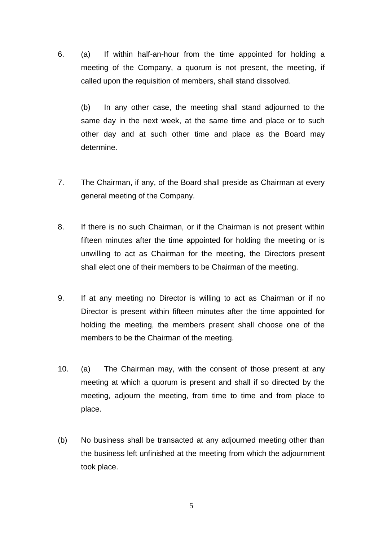6. (a) If within half-an-hour from the time appointed for holding a meeting of the Company, a quorum is not present, the meeting, if called upon the requisition of members, shall stand dissolved.

(b) In any other case, the meeting shall stand adjourned to the same day in the next week, at the same time and place or to such other day and at such other time and place as the Board may determine.

- 7. The Chairman, if any, of the Board shall preside as Chairman at every general meeting of the Company.
- 8. If there is no such Chairman, or if the Chairman is not present within fifteen minutes after the time appointed for holding the meeting or is unwilling to act as Chairman for the meeting, the Directors present shall elect one of their members to be Chairman of the meeting.
- 9. If at any meeting no Director is willing to act as Chairman or if no Director is present within fifteen minutes after the time appointed for holding the meeting, the members present shall choose one of the members to be the Chairman of the meeting.
- 10. (a) The Chairman may, with the consent of those present at any meeting at which a quorum is present and shall if so directed by the meeting, adjourn the meeting, from time to time and from place to place.
- (b) No business shall be transacted at any adjourned meeting other than the business left unfinished at the meeting from which the adjournment took place.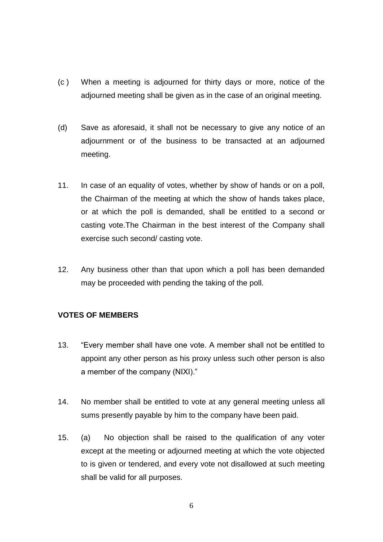- (c ) When a meeting is adjourned for thirty days or more, notice of the adjourned meeting shall be given as in the case of an original meeting.
- (d) Save as aforesaid, it shall not be necessary to give any notice of an adjournment or of the business to be transacted at an adjourned meeting.
- 11. In case of an equality of votes, whether by show of hands or on a poll, the Chairman of the meeting at which the show of hands takes place, or at which the poll is demanded, shall be entitled to a second or casting vote.The Chairman in the best interest of the Company shall exercise such second/ casting vote.
- 12. Any business other than that upon which a poll has been demanded may be proceeded with pending the taking of the poll.

## **VOTES OF MEMBERS**

- 13. "Every member shall have one vote. A member shall not be entitled to appoint any other person as his proxy unless such other person is also a member of the company (NIXI)."
- 14. No member shall be entitled to vote at any general meeting unless all sums presently payable by him to the company have been paid.
- 15. (a) No objection shall be raised to the qualification of any voter except at the meeting or adjourned meeting at which the vote objected to is given or tendered, and every vote not disallowed at such meeting shall be valid for all purposes.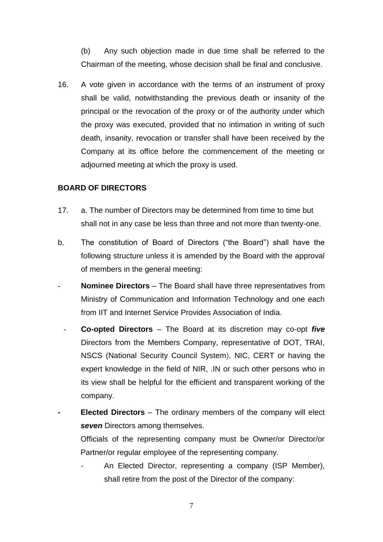(b) Any such objection made in due time shall be referred to the Chairman of the meeting, whose decision shall be final and conclusive.

16. A vote given in accordance with the terms of an instrument of proxy shall be valid, notwithstanding the previous death or insanity of the principal or the revocation of the proxy or of the authority under which the proxy was executed, provided that no intimation in writing of such death, insanity, revocation or transfer shall have been received by the Company at its office before the commencement of the meeting or adjourned meeting at which the proxy is used.

#### **BOARD OF DIRECTORS**

- 17. a. The number of Directors may be determined from time to time but shall not in any case be less than three and not more than twenty-one.
- b. The constitution of Board of Directors ("the Board") shall have the following structure unless it is amended by the Board with the approval of members in the general meeting:
- **Nominee Directors** The Board shall have three representatives from Ministry of Communication and Information Technology and one each from IIT and Internet Service Provides Association of India.
- **Co-opted Directors** The Board at its discretion may co-opt *five* Directors from the Members Company, representative of DOT, TRAI, NSCS (National Security Council System), NIC, CERT or having the expert knowledge in the field of NIR, .IN or such other persons who in its view shall be helpful for the efficient and transparent working of the company.
	- **- Elected Directors** The ordinary members of the company will elect **seven** Directors among themselves.

Officials of the representing company must be Owner/or Director/or Partner/or regular employee of the representing company.

- An Elected Director, representing a company (ISP Member), shall retire from the post of the Director of the company: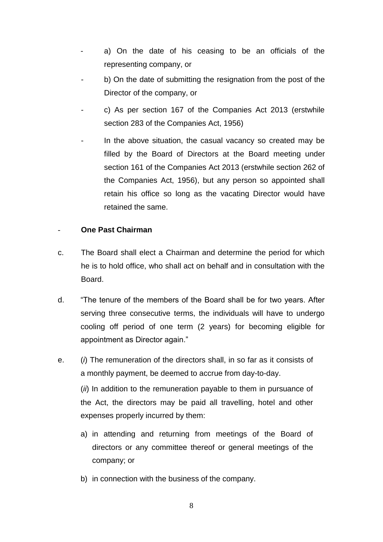- a) On the date of his ceasing to be an officials of the representing company, or
- b) On the date of submitting the resignation from the post of the Director of the company, or
- c) As per section 167 of the Companies Act 2013 (erstwhile section 283 of the Companies Act, 1956)
- In the above situation, the casual vacancy so created may be filled by the Board of Directors at the Board meeting under section 161 of the Companies Act 2013 (erstwhile section 262 of the Companies Act, 1956), but any person so appointed shall retain his office so long as the vacating Director would have retained the same.

### - **One Past Chairman**

- c. The Board shall elect a Chairman and determine the period for which he is to hold office, who shall act on behalf and in consultation with the Board.
- d. "The tenure of the members of the Board shall be for two years. After serving three consecutive terms, the individuals will have to undergo cooling off period of one term (2 years) for becoming eligible for appointment as Director again."
- e. (*i*) The remuneration of the directors shall, in so far as it consists of a monthly payment, be deemed to accrue from day-to-day. (*ii*) In addition to the remuneration payable to them in pursuance of the Act, the directors may be paid all travelling, hotel and other expenses properly incurred by them:
	- a) in attending and returning from meetings of the Board of directors or any committee thereof or general meetings of the company; or
	- b) in connection with the business of the company.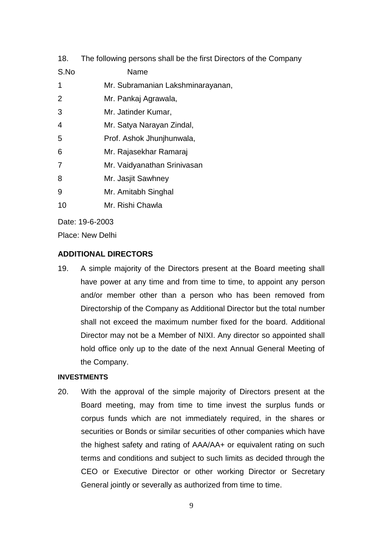| 18.  | The following persons shall be the first Directors of the Company |  |  |
|------|-------------------------------------------------------------------|--|--|
| S.No | Name                                                              |  |  |
| 1    | Mr. Subramanian Lakshminarayanan,                                 |  |  |
| 2    | Mr. Pankaj Agrawala,                                              |  |  |
| 3    | Mr. Jatinder Kumar,                                               |  |  |
| 4    | Mr. Satya Narayan Zindal,                                         |  |  |
| 5    | Prof. Ashok Jhunjhunwala,                                         |  |  |
| 6    | Mr. Rajasekhar Ramaraj                                            |  |  |
| 7    | Mr. Vaidyanathan Srinivasan                                       |  |  |
| 8    | Mr. Jasjit Sawhney                                                |  |  |
| 9    | Mr. Amitabh Singhal                                               |  |  |
| 10   | Mr. Rishi Chawla                                                  |  |  |
|      |                                                                   |  |  |

Date: 19-6-2003

Place: New Delhi

### **ADDITIONAL DIRECTORS**

19. A simple majority of the Directors present at the Board meeting shall have power at any time and from time to time, to appoint any person and/or member other than a person who has been removed from Directorship of the Company as Additional Director but the total number shall not exceed the maximum number fixed for the board. Additional Director may not be a Member of NIXI. Any director so appointed shall hold office only up to the date of the next Annual General Meeting of the Company.

## **INVESTMENTS**

20. With the approval of the simple majority of Directors present at the Board meeting, may from time to time invest the surplus funds or corpus funds which are not immediately required, in the shares or securities or Bonds or similar securities of other companies which have the highest safety and rating of AAA/AA+ or equivalent rating on such terms and conditions and subject to such limits as decided through the CEO or Executive Director or other working Director or Secretary General jointly or severally as authorized from time to time.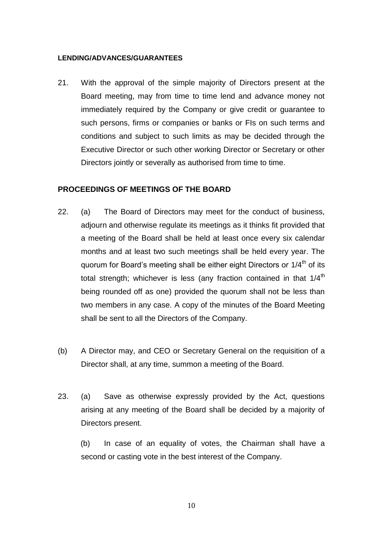#### **LENDING/ADVANCES/GUARANTEES**

21. With the approval of the simple majority of Directors present at the Board meeting, may from time to time lend and advance money not immediately required by the Company or give credit or guarantee to such persons, firms or companies or banks or FIs on such terms and conditions and subject to such limits as may be decided through the Executive Director or such other working Director or Secretary or other Directors jointly or severally as authorised from time to time.

#### **PROCEEDINGS OF MEETINGS OF THE BOARD**

- 22. (a) The Board of Directors may meet for the conduct of business, adjourn and otherwise regulate its meetings as it thinks fit provided that a meeting of the Board shall be held at least once every six calendar months and at least two such meetings shall be held every year. The quorum for Board's meeting shall be either eight Directors or  $1/4<sup>th</sup>$  of its total strength; whichever is less (any fraction contained in that  $1/4<sup>th</sup>$ being rounded off as one) provided the quorum shall not be less than two members in any case. A copy of the minutes of the Board Meeting shall be sent to all the Directors of the Company.
- (b) A Director may, and CEO or Secretary General on the requisition of a Director shall, at any time, summon a meeting of the Board.
- 23. (a) Save as otherwise expressly provided by the Act, questions arising at any meeting of the Board shall be decided by a majority of Directors present.

(b) In case of an equality of votes, the Chairman shall have a second or casting vote in the best interest of the Company.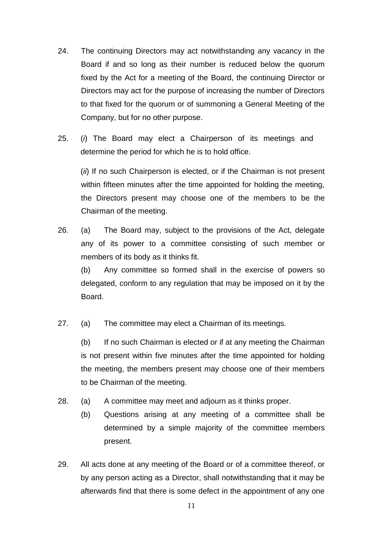- 24. The continuing Directors may act notwithstanding any vacancy in the Board if and so long as their number is reduced below the quorum fixed by the Act for a meeting of the Board, the continuing Director or Directors may act for the purpose of increasing the number of Directors to that fixed for the quorum or of summoning a General Meeting of the Company, but for no other purpose.
- 25. (*i*) The Board may elect a Chairperson of its meetings and determine the period for which he is to hold office.

(*ii*) If no such Chairperson is elected, or if the Chairman is not present within fifteen minutes after the time appointed for holding the meeting, the Directors present may choose one of the members to be the Chairman of the meeting.

26. (a) The Board may, subject to the provisions of the Act, delegate any of its power to a committee consisting of such member or members of its body as it thinks fit.

(b) Any committee so formed shall in the exercise of powers so delegated, conform to any regulation that may be imposed on it by the Board.

27. (a) The committee may elect a Chairman of its meetings.

(b) If no such Chairman is elected or if at any meeting the Chairman is not present within five minutes after the time appointed for holding the meeting, the members present may choose one of their members to be Chairman of the meeting.

- 28. (a) A committee may meet and adjourn as it thinks proper.
	- (b) Questions arising at any meeting of a committee shall be determined by a simple majority of the committee members present.
- 29. All acts done at any meeting of the Board or of a committee thereof, or by any person acting as a Director, shall notwithstanding that it may be afterwards find that there is some defect in the appointment of any one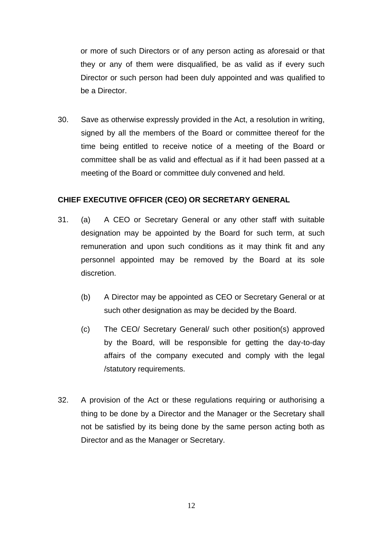or more of such Directors or of any person acting as aforesaid or that they or any of them were disqualified, be as valid as if every such Director or such person had been duly appointed and was qualified to be a Director.

30. Save as otherwise expressly provided in the Act, a resolution in writing, signed by all the members of the Board or committee thereof for the time being entitled to receive notice of a meeting of the Board or committee shall be as valid and effectual as if it had been passed at a meeting of the Board or committee duly convened and held.

#### **CHIEF EXECUTIVE OFFICER (CEO) OR SECRETARY GENERAL**

- 31. (a) A CEO or Secretary General or any other staff with suitable designation may be appointed by the Board for such term, at such remuneration and upon such conditions as it may think fit and any personnel appointed may be removed by the Board at its sole discretion.
	- (b) A Director may be appointed as CEO or Secretary General or at such other designation as may be decided by the Board.
	- (c) The CEO/ Secretary General/ such other position(s) approved by the Board, will be responsible for getting the day-to-day affairs of the company executed and comply with the legal /statutory requirements.
- 32. A provision of the Act or these regulations requiring or authorising a thing to be done by a Director and the Manager or the Secretary shall not be satisfied by its being done by the same person acting both as Director and as the Manager or Secretary.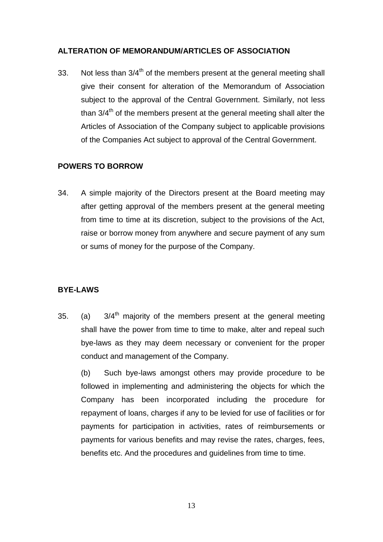## **ALTERATION OF MEMORANDUM/ARTICLES OF ASSOCIATION**

33. Not less than  $3/4^{\text{th}}$  of the members present at the general meeting shall give their consent for alteration of the Memorandum of Association subject to the approval of the Central Government. Similarly, not less than  $3/4<sup>th</sup>$  of the members present at the general meeting shall alter the Articles of Association of the Company subject to applicable provisions of the Companies Act subject to approval of the Central Government.

### **POWERS TO BORROW**

34. A simple majority of the Directors present at the Board meeting may after getting approval of the members present at the general meeting from time to time at its discretion, subject to the provisions of the Act, raise or borrow money from anywhere and secure payment of any sum or sums of money for the purpose of the Company.

#### **BYE-LAWS**

35. (a)  $3/4^{\text{th}}$  majority of the members present at the general meeting shall have the power from time to time to make, alter and repeal such bye-laws as they may deem necessary or convenient for the proper conduct and management of the Company.

(b) Such bye-laws amongst others may provide procedure to be followed in implementing and administering the objects for which the Company has been incorporated including the procedure for repayment of loans, charges if any to be levied for use of facilities or for payments for participation in activities, rates of reimbursements or payments for various benefits and may revise the rates, charges, fees, benefits etc. And the procedures and guidelines from time to time.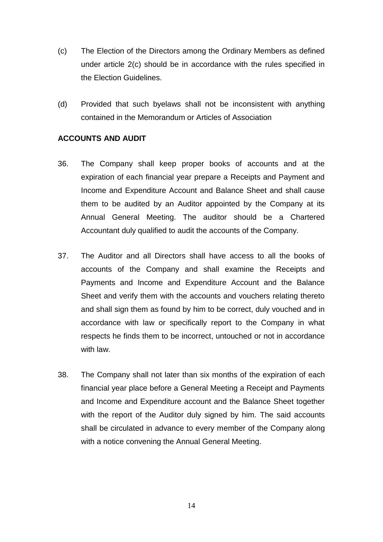- (c) The Election of the Directors among the Ordinary Members as defined under article 2(c) should be in accordance with the rules specified in the Election Guidelines.
- (d) Provided that such byelaws shall not be inconsistent with anything contained in the Memorandum or Articles of Association

#### **ACCOUNTS AND AUDIT**

- 36. The Company shall keep proper books of accounts and at the expiration of each financial year prepare a Receipts and Payment and Income and Expenditure Account and Balance Sheet and shall cause them to be audited by an Auditor appointed by the Company at its Annual General Meeting. The auditor should be a Chartered Accountant duly qualified to audit the accounts of the Company.
- 37. The Auditor and all Directors shall have access to all the books of accounts of the Company and shall examine the Receipts and Payments and Income and Expenditure Account and the Balance Sheet and verify them with the accounts and vouchers relating thereto and shall sign them as found by him to be correct, duly vouched and in accordance with law or specifically report to the Company in what respects he finds them to be incorrect, untouched or not in accordance with law.
- 38. The Company shall not later than six months of the expiration of each financial year place before a General Meeting a Receipt and Payments and Income and Expenditure account and the Balance Sheet together with the report of the Auditor duly signed by him. The said accounts shall be circulated in advance to every member of the Company along with a notice convening the Annual General Meeting.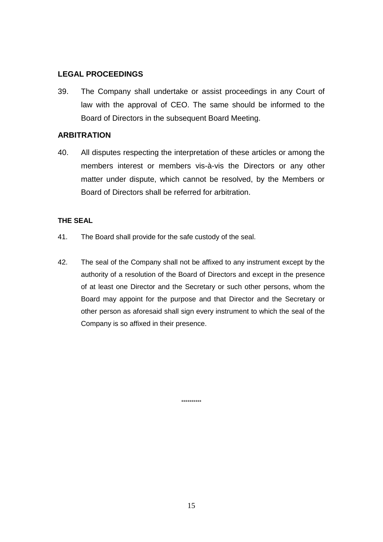### **LEGAL PROCEEDINGS**

39. The Company shall undertake or assist proceedings in any Court of law with the approval of CEO. The same should be informed to the Board of Directors in the subsequent Board Meeting.

#### **ARBITRATION**

40. All disputes respecting the interpretation of these articles or among the members interest or members vis-à-vis the Directors or any other matter under dispute, which cannot be resolved, by the Members or Board of Directors shall be referred for arbitration.

#### **THE SEAL**

- 41. The Board shall provide for the safe custody of the seal.
- 42. The seal of the Company shall not be affixed to any instrument except by the authority of a resolution of the Board of Directors and except in the presence of at least one Director and the Secretary or such other persons, whom the Board may appoint for the purpose and that Director and the Secretary or other person as aforesaid shall sign every instrument to which the seal of the Company is so affixed in their presence.

\*\*\*\*\*\*\*\*\*\*